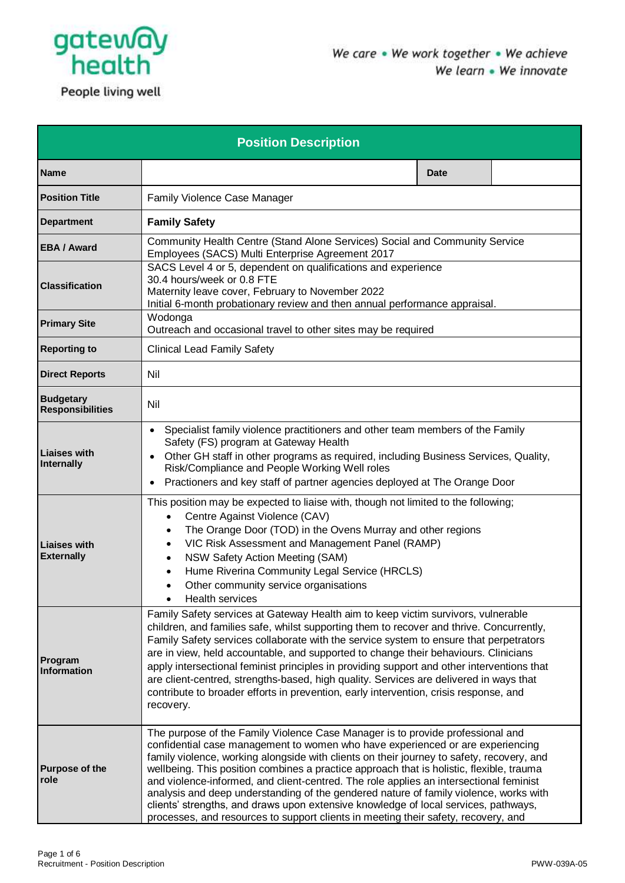

**Position Description Name Date Position Title Family Violence Case Manager Department Family Safety EBA / Award** Community Health Centre (Stand Alone Services) Social and Community Service Employees (SACS) Multi Enterprise Agreement 2017 **Classification** SACS Level 4 or 5, dependent on qualifications and experience 30.4 hours/week or 0.8 FTE Maternity leave cover, February to November 2022 Initial 6-month probationary review and then annual performance appraisal. **Primary Site** Wodonga Outreach and occasional travel to other sites may be required **Reporting to Clinical Lead Family Safety Direct Reports** | Nil **Budgetary Responsibilities** Nil **Liaises with**  • Specialist family violence practitioners and other team members of the Family Safety (FS) program at Gateway Health

- Other GH staff in other programs as required, including Business Services, Quality, Risk/Compliance and People Working Well roles • Practioners and key staff of partner agencies deployed at The Orange Door
	- This position may be expected to liaise with, though not limited to the following; Centre Against Violence (CAV)
		- The Orange Door (TOD) in the Ovens Murray and other regions
		- VIC Risk Assessment and Management Panel (RAMP)
	- NSW Safety Action Meeting (SAM)
		- Hume Riverina Community Legal Service (HRCLS)
		- Other community service organisations
- Health services Family Safety services at Gateway Health aim to keep victim survivors, vulnerable children, and families safe, whilst supporting them to recover and thrive. Concurrently, Family Safety services collaborate with the service system to ensure that perpetrators are in view, held accountable, and supported to change their behaviours. Clinicians apply intersectional feminist principles in providing support and other interventions that are client-centred, strengths-based, high quality. Services are delivered in ways that contribute to broader efforts in prevention, early intervention, crisis response, and recovery.
- **Purpose of the role** The purpose of the Family Violence Case Manager is to provide professional and confidential case management to women who have experienced or are experiencing family violence, working alongside with clients on their journey to safety, recovery, and wellbeing. This position combines a practice approach that is holistic, flexible, trauma and violence-informed, and client-centred. The role applies an intersectional feminist analysis and deep understanding of the gendered nature of family violence, works with clients' strengths, and draws upon extensive knowledge of local services, pathways, processes, and resources to support clients in meeting their safety, recovery, and

**Internally**

**Liaises with Externally**

**Program Information**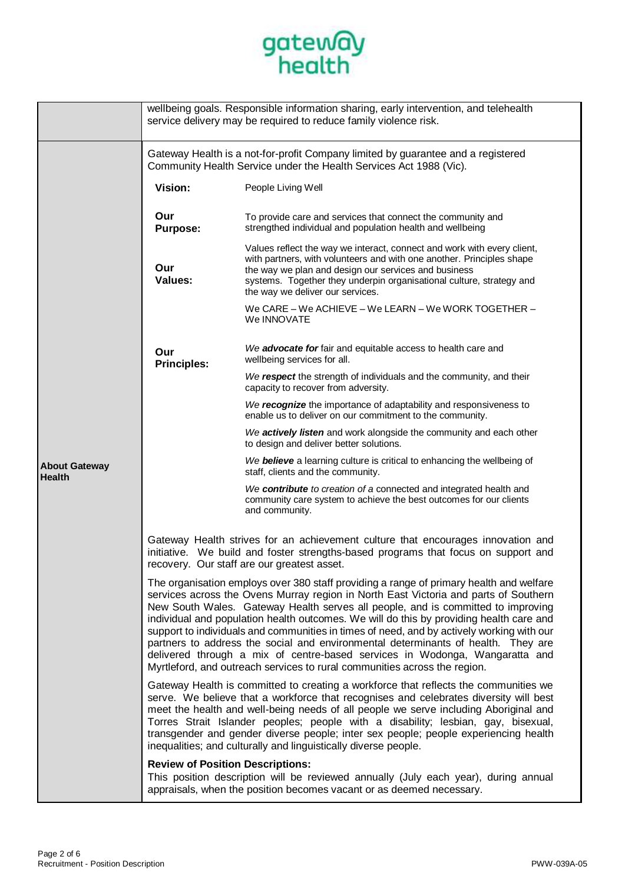

|                                       |                                                                                                                                                                                                                                                                                                                                                                                                                                                                                                                                                                                                                                                                                                              | wellbeing goals. Responsible information sharing, early intervention, and telehealth                                                                                                                                                                                                                                                                                                                                                                                                                                 |  |
|---------------------------------------|--------------------------------------------------------------------------------------------------------------------------------------------------------------------------------------------------------------------------------------------------------------------------------------------------------------------------------------------------------------------------------------------------------------------------------------------------------------------------------------------------------------------------------------------------------------------------------------------------------------------------------------------------------------------------------------------------------------|----------------------------------------------------------------------------------------------------------------------------------------------------------------------------------------------------------------------------------------------------------------------------------------------------------------------------------------------------------------------------------------------------------------------------------------------------------------------------------------------------------------------|--|
|                                       | service delivery may be required to reduce family violence risk.                                                                                                                                                                                                                                                                                                                                                                                                                                                                                                                                                                                                                                             |                                                                                                                                                                                                                                                                                                                                                                                                                                                                                                                      |  |
|                                       | Gateway Health is a not-for-profit Company limited by guarantee and a registered<br>Community Health Service under the Health Services Act 1988 (Vic).                                                                                                                                                                                                                                                                                                                                                                                                                                                                                                                                                       |                                                                                                                                                                                                                                                                                                                                                                                                                                                                                                                      |  |
|                                       | Vision:                                                                                                                                                                                                                                                                                                                                                                                                                                                                                                                                                                                                                                                                                                      | People Living Well                                                                                                                                                                                                                                                                                                                                                                                                                                                                                                   |  |
|                                       | Our<br><b>Purpose:</b>                                                                                                                                                                                                                                                                                                                                                                                                                                                                                                                                                                                                                                                                                       | To provide care and services that connect the community and<br>strengthed individual and population health and wellbeing                                                                                                                                                                                                                                                                                                                                                                                             |  |
|                                       | Our<br><b>Values:</b>                                                                                                                                                                                                                                                                                                                                                                                                                                                                                                                                                                                                                                                                                        | Values reflect the way we interact, connect and work with every client,<br>with partners, with volunteers and with one another. Principles shape<br>the way we plan and design our services and business<br>systems. Together they underpin organisational culture, strategy and<br>the way we deliver our services.                                                                                                                                                                                                 |  |
|                                       |                                                                                                                                                                                                                                                                                                                                                                                                                                                                                                                                                                                                                                                                                                              | We CARE - We ACHIEVE - We LEARN - We WORK TOGETHER -<br>We INNOVATE                                                                                                                                                                                                                                                                                                                                                                                                                                                  |  |
|                                       | Our<br><b>Principles:</b>                                                                                                                                                                                                                                                                                                                                                                                                                                                                                                                                                                                                                                                                                    | We advocate for fair and equitable access to health care and<br>wellbeing services for all.                                                                                                                                                                                                                                                                                                                                                                                                                          |  |
|                                       |                                                                                                                                                                                                                                                                                                                                                                                                                                                                                                                                                                                                                                                                                                              | We respect the strength of individuals and the community, and their<br>capacity to recover from adversity.                                                                                                                                                                                                                                                                                                                                                                                                           |  |
|                                       |                                                                                                                                                                                                                                                                                                                                                                                                                                                                                                                                                                                                                                                                                                              | We recognize the importance of adaptability and responsiveness to<br>enable us to deliver on our commitment to the community.                                                                                                                                                                                                                                                                                                                                                                                        |  |
|                                       |                                                                                                                                                                                                                                                                                                                                                                                                                                                                                                                                                                                                                                                                                                              | We actively listen and work alongside the community and each other<br>to design and deliver better solutions.                                                                                                                                                                                                                                                                                                                                                                                                        |  |
| <b>About Gateway</b><br><b>Health</b> |                                                                                                                                                                                                                                                                                                                                                                                                                                                                                                                                                                                                                                                                                                              | We believe a learning culture is critical to enhancing the wellbeing of<br>staff, clients and the community.                                                                                                                                                                                                                                                                                                                                                                                                         |  |
|                                       |                                                                                                                                                                                                                                                                                                                                                                                                                                                                                                                                                                                                                                                                                                              | We contribute to creation of a connected and integrated health and<br>community care system to achieve the best outcomes for our clients<br>and community.                                                                                                                                                                                                                                                                                                                                                           |  |
|                                       | Gateway Health strives for an achievement culture that encourages innovation and<br>initiative. We build and foster strengths-based programs that focus on support and<br>recovery. Our staff are our greatest asset.                                                                                                                                                                                                                                                                                                                                                                                                                                                                                        |                                                                                                                                                                                                                                                                                                                                                                                                                                                                                                                      |  |
|                                       | The organisation employs over 380 staff providing a range of primary health and welfare<br>services across the Ovens Murray region in North East Victoria and parts of Southern<br>New South Wales. Gateway Health serves all people, and is committed to improving<br>individual and population health outcomes. We will do this by providing health care and<br>support to individuals and communities in times of need, and by actively working with our<br>partners to address the social and environmental determinants of health. They are<br>delivered through a mix of centre-based services in Wodonga, Wangaratta and<br>Myrtleford, and outreach services to rural communities across the region. |                                                                                                                                                                                                                                                                                                                                                                                                                                                                                                                      |  |
|                                       |                                                                                                                                                                                                                                                                                                                                                                                                                                                                                                                                                                                                                                                                                                              | Gateway Health is committed to creating a workforce that reflects the communities we<br>serve. We believe that a workforce that recognises and celebrates diversity will best<br>meet the health and well-being needs of all people we serve including Aboriginal and<br>Torres Strait Islander peoples; people with a disability; lesbian, gay, bisexual,<br>transgender and gender diverse people; inter sex people; people experiencing health<br>inequalities; and culturally and linguistically diverse people. |  |
|                                       | <b>Review of Position Descriptions:</b>                                                                                                                                                                                                                                                                                                                                                                                                                                                                                                                                                                                                                                                                      | This position description will be reviewed annually (July each year), during annual<br>appraisals, when the position becomes vacant or as deemed necessary.                                                                                                                                                                                                                                                                                                                                                          |  |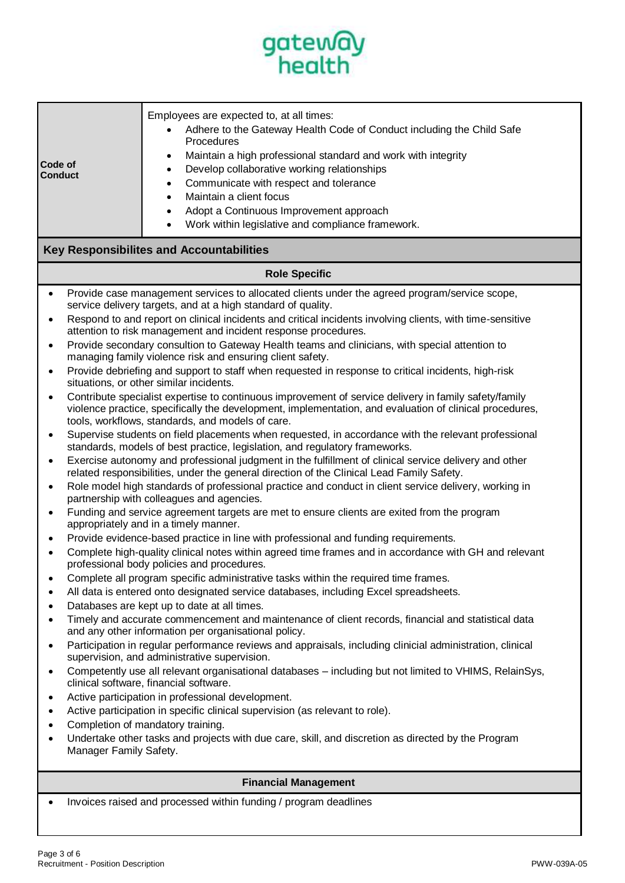

| Code of<br><b>Conduct</b>                                                                                                                                                                                                                                                                                                                                                                                                                                                                                                                                                                                                                                                                                                                                                                                                                                                                                                                                                                                                                                                                                                                                                                                                                                                                                                                                                                                                                                                                                                                                                                                                                                                                                                                                                                                                                                                                                                                                                                                                                                                                                                                                                                                                                                                                                                                                                                                                                                                                                                                                                                                                                                                                                                                                                                                                                                                                                                                                                    | Employees are expected to, at all times:<br>Adhere to the Gateway Health Code of Conduct including the Child Safe<br>Procedures<br>Maintain a high professional standard and work with integrity<br>$\bullet$<br>Develop collaborative working relationships<br>$\bullet$<br>Communicate with respect and tolerance<br>$\bullet$<br>Maintain a client focus<br>$\bullet$<br>Adopt a Continuous Improvement approach<br>$\bullet$<br>Work within legislative and compliance framework.<br>٠ |  |  |
|------------------------------------------------------------------------------------------------------------------------------------------------------------------------------------------------------------------------------------------------------------------------------------------------------------------------------------------------------------------------------------------------------------------------------------------------------------------------------------------------------------------------------------------------------------------------------------------------------------------------------------------------------------------------------------------------------------------------------------------------------------------------------------------------------------------------------------------------------------------------------------------------------------------------------------------------------------------------------------------------------------------------------------------------------------------------------------------------------------------------------------------------------------------------------------------------------------------------------------------------------------------------------------------------------------------------------------------------------------------------------------------------------------------------------------------------------------------------------------------------------------------------------------------------------------------------------------------------------------------------------------------------------------------------------------------------------------------------------------------------------------------------------------------------------------------------------------------------------------------------------------------------------------------------------------------------------------------------------------------------------------------------------------------------------------------------------------------------------------------------------------------------------------------------------------------------------------------------------------------------------------------------------------------------------------------------------------------------------------------------------------------------------------------------------------------------------------------------------------------------------------------------------------------------------------------------------------------------------------------------------------------------------------------------------------------------------------------------------------------------------------------------------------------------------------------------------------------------------------------------------------------------------------------------------------------------------------------------------|--------------------------------------------------------------------------------------------------------------------------------------------------------------------------------------------------------------------------------------------------------------------------------------------------------------------------------------------------------------------------------------------------------------------------------------------------------------------------------------------|--|--|
| <b>Key Responsibilites and Accountabilities</b>                                                                                                                                                                                                                                                                                                                                                                                                                                                                                                                                                                                                                                                                                                                                                                                                                                                                                                                                                                                                                                                                                                                                                                                                                                                                                                                                                                                                                                                                                                                                                                                                                                                                                                                                                                                                                                                                                                                                                                                                                                                                                                                                                                                                                                                                                                                                                                                                                                                                                                                                                                                                                                                                                                                                                                                                                                                                                                                              |                                                                                                                                                                                                                                                                                                                                                                                                                                                                                            |  |  |
| <b>Role Specific</b>                                                                                                                                                                                                                                                                                                                                                                                                                                                                                                                                                                                                                                                                                                                                                                                                                                                                                                                                                                                                                                                                                                                                                                                                                                                                                                                                                                                                                                                                                                                                                                                                                                                                                                                                                                                                                                                                                                                                                                                                                                                                                                                                                                                                                                                                                                                                                                                                                                                                                                                                                                                                                                                                                                                                                                                                                                                                                                                                                         |                                                                                                                                                                                                                                                                                                                                                                                                                                                                                            |  |  |
| Provide case management services to allocated clients under the agreed program/service scope,<br>$\bullet$<br>service delivery targets, and at a high standard of quality.<br>Respond to and report on clinical incidents and critical incidents involving clients, with time-sensitive<br>$\bullet$<br>attention to risk management and incident response procedures.<br>Provide secondary consultion to Gateway Health teams and clinicians, with special attention to<br>$\bullet$<br>managing family violence risk and ensuring client safety.<br>Provide debriefing and support to staff when requested in response to critical incidents, high-risk<br>٠<br>situations, or other similar incidents.<br>Contribute specialist expertise to continuous improvement of service delivery in family safety/family<br>$\bullet$<br>violence practice, specifically the development, implementation, and evaluation of clinical procedures,<br>tools, workflows, standards, and models of care.<br>Supervise students on field placements when requested, in accordance with the relevant professional<br>٠<br>standards, models of best practice, legislation, and regulatory frameworks.<br>Exercise autonomy and professional judgment in the fulfillment of clinical service delivery and other<br>related responsibilities, under the general direction of the Clinical Lead Family Safety.<br>Role model high standards of professional practice and conduct in client service delivery, working in<br>٠<br>partnership with colleagues and agencies.<br>Funding and service agreement targets are met to ensure clients are exited from the program<br>٠<br>appropriately and in a timely manner.<br>Provide evidence-based practice in line with professional and funding requirements.<br>Complete high-quality clinical notes within agreed time frames and in accordance with GH and relevant<br>professional body policies and procedures.<br>Complete all program specific administrative tasks within the required time frames.<br>All data is entered onto designated service databases, including Excel spreadsheets.<br>Databases are kept up to date at all times.<br>Timely and accurate commencement and maintenance of client records, financial and statistical data<br>and any other information per organisational policy.<br>Participation in regular performance reviews and appraisals, including clinicial administration, clinical<br>supervision, and administrative supervision.<br>Competently use all relevant organisational databases - including but not limited to VHIMS, RelainSys,<br>clinical software, financial software.<br>Active participation in professional development.<br>Active participation in specific clinical supervision (as relevant to role).<br>Completion of mandatory training.<br>Undertake other tasks and projects with due care, skill, and discretion as directed by the Program<br>Manager Family Safety. |                                                                                                                                                                                                                                                                                                                                                                                                                                                                                            |  |  |
|                                                                                                                                                                                                                                                                                                                                                                                                                                                                                                                                                                                                                                                                                                                                                                                                                                                                                                                                                                                                                                                                                                                                                                                                                                                                                                                                                                                                                                                                                                                                                                                                                                                                                                                                                                                                                                                                                                                                                                                                                                                                                                                                                                                                                                                                                                                                                                                                                                                                                                                                                                                                                                                                                                                                                                                                                                                                                                                                                                              |                                                                                                                                                                                                                                                                                                                                                                                                                                                                                            |  |  |
| <b>Financial Management</b><br>Invoices raised and processed within funding / program deadlines                                                                                                                                                                                                                                                                                                                                                                                                                                                                                                                                                                                                                                                                                                                                                                                                                                                                                                                                                                                                                                                                                                                                                                                                                                                                                                                                                                                                                                                                                                                                                                                                                                                                                                                                                                                                                                                                                                                                                                                                                                                                                                                                                                                                                                                                                                                                                                                                                                                                                                                                                                                                                                                                                                                                                                                                                                                                              |                                                                                                                                                                                                                                                                                                                                                                                                                                                                                            |  |  |
|                                                                                                                                                                                                                                                                                                                                                                                                                                                                                                                                                                                                                                                                                                                                                                                                                                                                                                                                                                                                                                                                                                                                                                                                                                                                                                                                                                                                                                                                                                                                                                                                                                                                                                                                                                                                                                                                                                                                                                                                                                                                                                                                                                                                                                                                                                                                                                                                                                                                                                                                                                                                                                                                                                                                                                                                                                                                                                                                                                              |                                                                                                                                                                                                                                                                                                                                                                                                                                                                                            |  |  |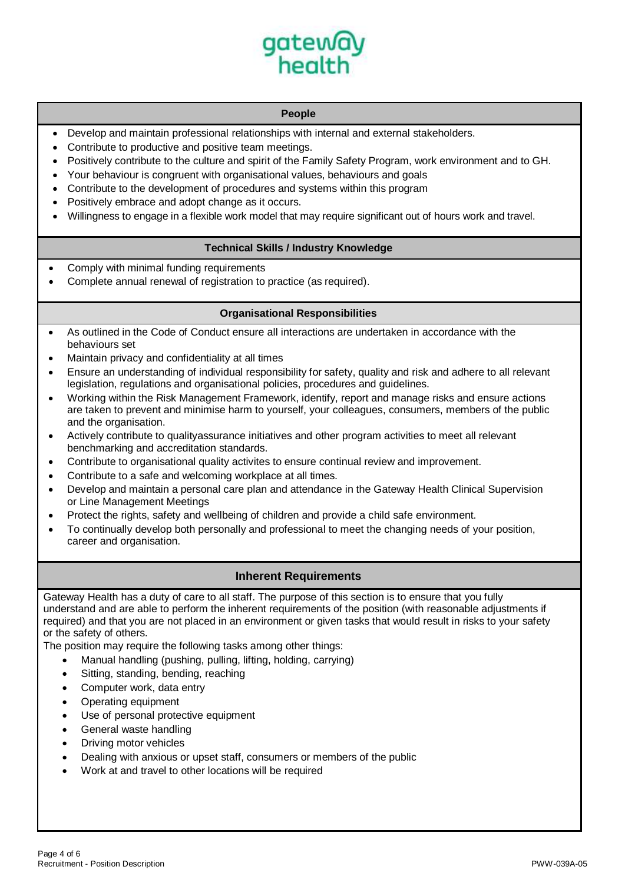

# **People**

- Develop and maintain professional relationships with internal and external stakeholders.
- Contribute to productive and positive team meetings.
- Positively contribute to the culture and spirit of the Family Safety Program, work environment and to GH.
- Your behaviour is congruent with organisational values, behaviours and goals
- Contribute to the development of procedures and systems within this program
- Positively embrace and adopt change as it occurs.
- Willingness to engage in a flexible work model that may require significant out of hours work and travel.

# **Technical Skills / Industry Knowledge**

- Comply with minimal funding requirements
- Complete annual renewal of registration to practice (as required).

### **Organisational Responsibilities**

- As outlined in the Code of Conduct ensure all interactions are undertaken in accordance with the behaviours set
- Maintain privacy and confidentiality at all times
- Ensure an understanding of individual responsibility for safety, quality and risk and adhere to all relevant legislation, regulations and organisational policies, procedures and guidelines.
- Working within the Risk Management Framework, identify, report and manage risks and ensure actions are taken to prevent and minimise harm to yourself, your colleagues, consumers, members of the public and the organisation.
- Actively contribute to qualityassurance initiatives and other program activities to meet all relevant benchmarking and accreditation standards.
- Contribute to organisational quality activites to ensure continual review and improvement.
- Contribute to a safe and welcoming workplace at all times.
- Develop and maintain a personal care plan and attendance in the Gateway Health Clinical Supervision or Line Management Meetings
- Protect the rights, safety and wellbeing of children and provide a child safe environment.
- To continually develop both personally and professional to meet the changing needs of your position, career and organisation.

### **Inherent Requirements**

Gateway Health has a duty of care to all staff. The purpose of this section is to ensure that you fully understand and are able to perform the inherent requirements of the position (with reasonable adjustments if required) and that you are not placed in an environment or given tasks that would result in risks to your safety or the safety of others.

The position may require the following tasks among other things:

- Manual handling (pushing, pulling, lifting, holding, carrying)
- Sitting, standing, bending, reaching
- Computer work, data entry
- Operating equipment
- Use of personal protective equipment
- General waste handling
- Driving motor vehicles
- Dealing with anxious or upset staff, consumers or members of the public
- Work at and travel to other locations will be required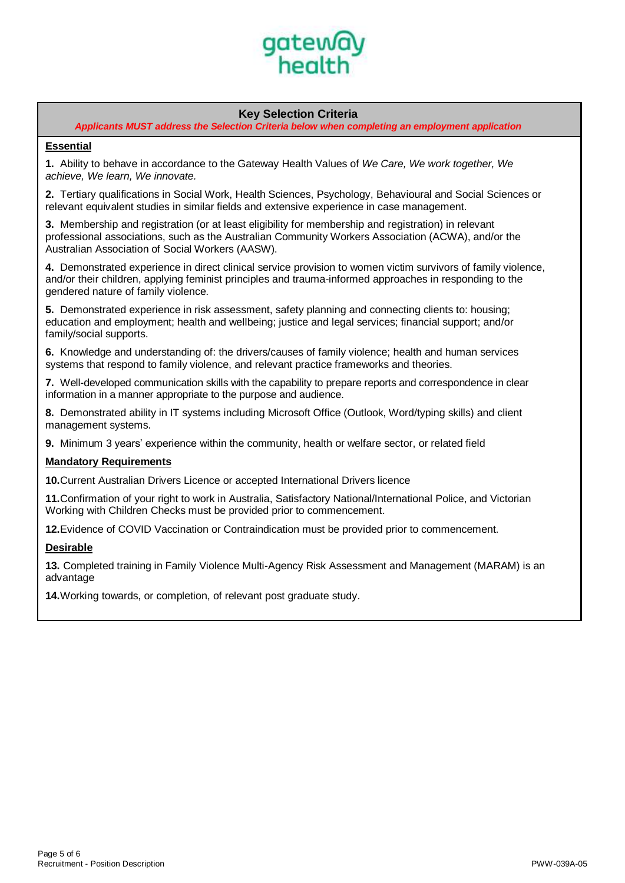

# **Key Selection Criteria**

*Applicants MUST address the Selection Criteria below when completing an employment application*

# **Essential**

**1.** Ability to behave in accordance to the Gateway Health Values of *We Care, We work together, We achieve, We learn, We innovate.*

**2.** Tertiary qualifications in Social Work, Health Sciences, Psychology, Behavioural and Social Sciences or relevant equivalent studies in similar fields and extensive experience in case management.

**3.** Membership and registration (or at least eligibility for membership and registration) in relevant professional associations, such as the Australian Community Workers Association (ACWA), and/or the Australian Association of Social Workers (AASW).

**4.** Demonstrated experience in direct clinical service provision to women victim survivors of family violence, and/or their children, applying feminist principles and trauma-informed approaches in responding to the gendered nature of family violence.

**5.** Demonstrated experience in risk assessment, safety planning and connecting clients to: housing; education and employment; health and wellbeing; justice and legal services; financial support; and/or family/social supports.

**6.** Knowledge and understanding of: the drivers/causes of family violence; health and human services systems that respond to family violence, and relevant practice frameworks and theories.

**7.** Well-developed communication skills with the capability to prepare reports and correspondence in clear information in a manner appropriate to the purpose and audience.

**8.** Demonstrated ability in IT systems including Microsoft Office (Outlook, Word/typing skills) and client management systems.

**9.** Minimum 3 years' experience within the community, health or welfare sector, or related field

#### **Mandatory Requirements**

**10.**Current Australian Drivers Licence or accepted International Drivers licence

**11.**Confirmation of your right to work in Australia, Satisfactory National/International Police, and Victorian Working with Children Checks must be provided prior to commencement.

**12.**Evidence of COVID Vaccination or Contraindication must be provided prior to commencement.

#### **Desirable**

**13.** Completed training in Family Violence Multi-Agency Risk Assessment and Management (MARAM) is an advantage

**14.**Working towards, or completion, of relevant post graduate study.